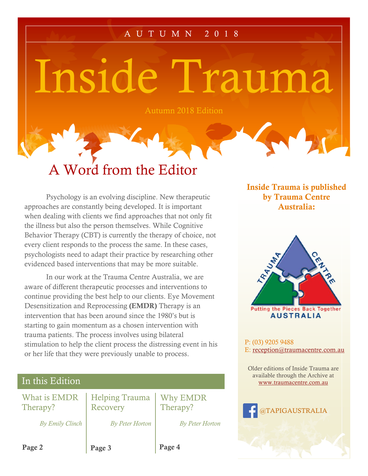## A U T U M N 2 0 1 8

Inside Trauma

Autumn 2018 Edition

# A Word from the Editor

Psychology is an evolving discipline. New therapeutic approaches are constantly being developed. It is important when dealing with clients we find approaches that not only fit the illness but also the person themselves. While Cognitive Behavior Therapy (CBT) is currently the therapy of choice, not every client responds to the process the same. In these cases, psychologists need to adapt their practice by researching other evidenced based interventions that may be more suitable.

In our work at the Trauma Centre Australia, we are aware of different therapeutic processes and interventions to continue providing the best help to our clients. Eye Movement Desensitization and Reprocessing (EMDR) Therapy is an intervention that has been around since the 1980's but is starting to gain momentum as a chosen intervention with trauma patients. The process involves using bilateral stimulation to help the client process the distressing event in his or her life that they were previously unable to process.

| In this Edition          |                                   |                        |
|--------------------------|-----------------------------------|------------------------|
| What is EMDR<br>Therapy? | <b>Helping Trauma</b><br>Recovery | Why EMDR<br>Therapy?   |
| By Emily Clinch          | <b>By Peter Horton</b>            | <b>By Peter Horton</b> |
| Page 2                   | Page 3                            | Page 4                 |

Inside Trauma is published by Trauma Centre Australia:



P: (03) 9205 9488 E: [reception@traumacentre.com.au](mailto:reception@traumacentre.com.au)

Older editions of Inside Trauma are available through the Archive at [www.traumacentre.com.au](http://www.traumacentre.com.au/)

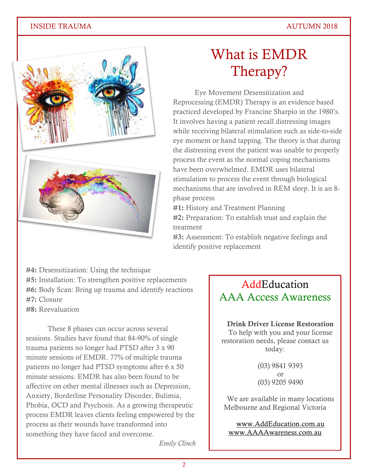### INSIDE TRAUMA AUTUMN 2018



# What is EMDR Therapy?

Eye Movement Desensitization and Reprocessing (EMDR) Therapy is an evidence based practiced developed by Francine Sharpio in the 1980's. It involves having a patient recall distressing images while receiving bilateral stimulation such as side-to-side eye moment or hand tapping. The theory is that during the distressing event the patient was unable to properly process the event as the normal coping mechanisms have been overwhelmed. EMDR uses bilateral stimulation to process the event through biological mechanisms that are involved in REM sleep. It is an 8 phase process

#1: History and Treatment Planning

#2: Preparation: To establish trust and explain the treatment

#3: Assessment: To establish negative feelings and identify positive replacement

#4: Desensitization: Using the technique #5: Installation: To strengthen positive replacements #6: Body Scan: Bring up trauma and identify reactions #7: Closure #8: Reevaluation

These 8 phases can occur across several sessions. Studies have found that 84-90% of single trauma patients no longer had PTSD after 3 x 90 minute sessions of EMDR. 77% of multiple trauma patients no longer had PTSD symptoms after 6 x 50 minute sessions. EMDR has also been found to be affective on other mental illnesses such as Depression, Anxiety, Borderline Personality Disorder, Bulimia, Phobia, OCD and Psychosis. As a growing therapeutic process EMDR leaves clients feeling empowered by the process as their wounds have transformed into something they have faced and overcome.

# **AddEducation** AAA Access Awareness

Drink Driver License Restoration To help with you and your license restoration needs, please contact us today:

> (03) 9841 9393 or (03) 9205 9490

We are available in many locations Melbourne and Regional Victoria

[www.AddEducation.com.au](http://www.addeducation.com.au/) [www.AAAAwareness.com.au](http://www.aaaawareness.com.au/)

*Emily Clinch*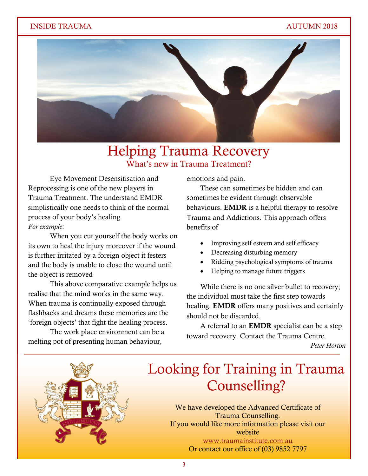### INSIDE TRAUMA AUTUMN 2018



# Helping Trauma Recovery What's new in Trauma Treatment?

Eye Movement Desensitisation and Reprocessing is one of the new players in Trauma Treatment. The understand EMDR simplistically one needs to think of the normal process of your body's healing *For example*:

When you cut yourself the body works on its own to heal the injury moreover if the wound is further irritated by a foreign object it festers and the body is unable to close the wound until the object is removed

This above comparative example helps us realise that the mind works in the same way. When trauma is continually exposed through flashbacks and dreams these memories are the 'foreign objects' that fight the healing process.

The work place environment can be a melting pot of presenting human behaviour,

emotions and pain.

These can sometimes be hidden and can sometimes be evident through observable behaviours. EMDR is a helpful therapy to resolve Trauma and Addictions. This approach offers benefits of

- Improving self esteem and self efficacy
- Decreasing disturbing memory
- Ridding psychological symptoms of trauma
- Helping to manage future triggers

While there is no one silver bullet to recovery; the individual must take the first step towards healing. EMDR offers many positives and certainly should not be discarded.

A referral to an EMDR specialist can be a step toward recovery. Contact the Trauma Centre.

*Peter Horton*



# Looking for Training in Trauma Counselling?

We have developed the Advanced Certificate of<br>Trauma Counselling If you would like more information please visit our<br>website Trauma Counselling. website [www.traumainstitute.com.au](http://www.traumainstitute.com.au/) Or contact our office of (03) 9852 7797